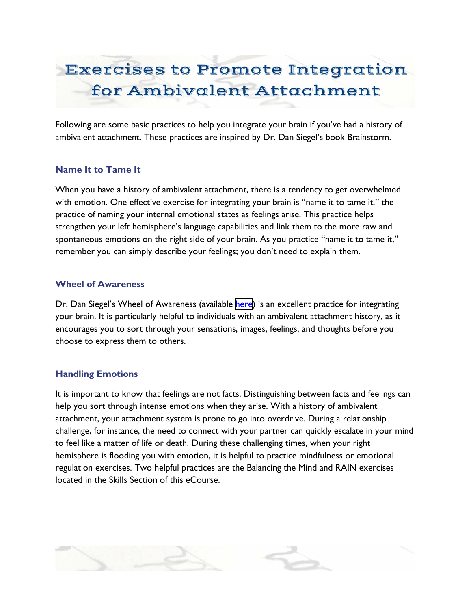# Exercises to Promote Integration for Ambivalent Attachment

Following are some basic practices to help you integrate your brain if you've had a history of ambivalent attachment. These practices are inspired by Dr. Dan Siegel's book Brainstorm.

## **Name It to Tame It**

When you have a history of ambivalent attachment, there is a tendency to get overwhelmed with emotion. One effective exercise for integrating your brain is "name it to tame it," the practice of naming your internal emotional states as feelings arise. This practice helps strengthen your left hemisphere's language capabilities and link them to the more raw and spontaneous emotions on the right side of your brain. As you practice "name it to tame it," remember you can simply describe your feelings; you don't need to explain them.

#### **Wheel of Awareness**

Dr. Dan Siegel's Wheel of Awareness (available [here](http://www.drdansiegel.com/resources/wheel_of_awareness/)) is an excellent practice for integrating your brain. It is particularly helpful to individuals with an ambivalent attachment history, as it encourages you to sort through your sensations, images, feelings, and thoughts before you choose to express them to others.

#### **Handling Emotions**

It is important to know that feelings are not facts. Distinguishing between facts and feelings can help you sort through intense emotions when they arise. With a history of ambivalent attachment, your attachment system is prone to go into overdrive. During a relationship challenge, for instance, the need to connect with your partner can quickly escalate in your mind to feel like a matter of life or death. During these challenging times, when your right hemisphere is flooding you with emotion, it is helpful to practice mindfulness or emotional regulation exercises. Two helpful practices are the Balancing the Mind and RAIN exercises located in the Skills Section of this eCourse.